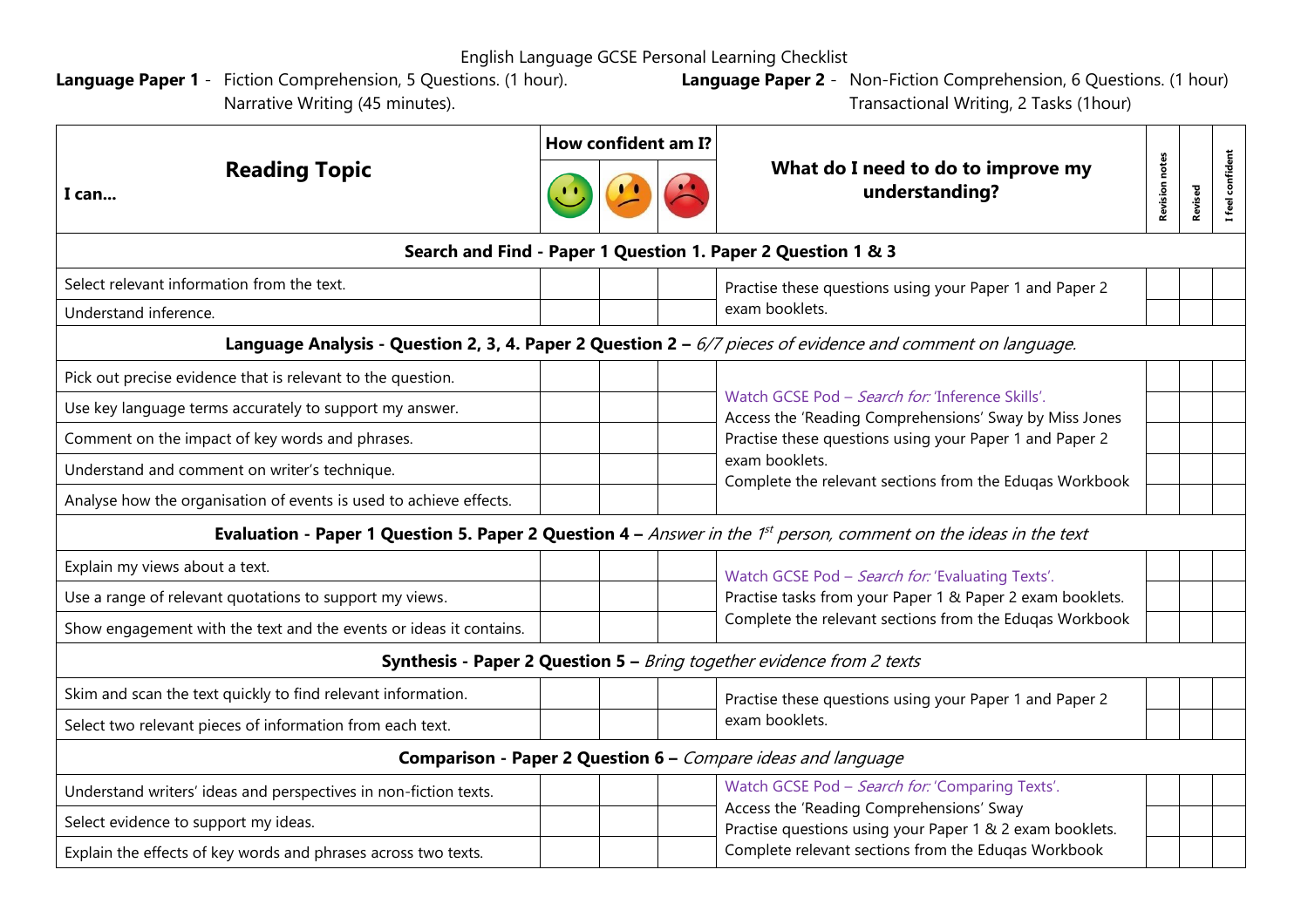English Language GCSE Personal Learning Checklist

**Language Paper 1** - Fiction Comprehension, 5 Questions. (1 hour). Narrative Writing (45 minutes).

**Language Paper 2** - Non-Fiction Comprehension, 6 Questions. (1 hour) Transactional Writing, 2 Tasks (1hour)

| <b>Reading Topic</b><br>I can                                                                                                   | How confident am I? |  |  |                                                                                                                                                                                                                |                       |         |                |  |  |  |  |  |  |
|---------------------------------------------------------------------------------------------------------------------------------|---------------------|--|--|----------------------------------------------------------------------------------------------------------------------------------------------------------------------------------------------------------------|-----------------------|---------|----------------|--|--|--|--|--|--|
|                                                                                                                                 |                     |  |  | What do I need to do to improve my<br>understanding?                                                                                                                                                           | <b>Revision notes</b> | Revised | feel confident |  |  |  |  |  |  |
| Search and Find - Paper 1 Question 1. Paper 2 Question 1 & 3                                                                    |                     |  |  |                                                                                                                                                                                                                |                       |         |                |  |  |  |  |  |  |
| Select relevant information from the text.                                                                                      |                     |  |  | Practise these questions using your Paper 1 and Paper 2<br>exam booklets.                                                                                                                                      |                       |         |                |  |  |  |  |  |  |
| Understand inference.                                                                                                           |                     |  |  |                                                                                                                                                                                                                |                       |         |                |  |  |  |  |  |  |
| Language Analysis - Question 2, 3, 4. Paper 2 Question $2 - 6/7$ pieces of evidence and comment on language.                    |                     |  |  |                                                                                                                                                                                                                |                       |         |                |  |  |  |  |  |  |
| Pick out precise evidence that is relevant to the question.                                                                     |                     |  |  | Watch GCSE Pod - Search for: 'Inference Skills'.<br>Access the 'Reading Comprehensions' Sway by Miss Jones                                                                                                     |                       |         |                |  |  |  |  |  |  |
| Use key language terms accurately to support my answer.                                                                         |                     |  |  |                                                                                                                                                                                                                |                       |         |                |  |  |  |  |  |  |
| Comment on the impact of key words and phrases.                                                                                 |                     |  |  | Practise these questions using your Paper 1 and Paper 2                                                                                                                                                        |                       |         |                |  |  |  |  |  |  |
| Understand and comment on writer's technique.                                                                                   |                     |  |  | exam booklets.<br>Complete the relevant sections from the Eduqas Workbook                                                                                                                                      |                       |         |                |  |  |  |  |  |  |
| Analyse how the organisation of events is used to achieve effects.                                                              |                     |  |  |                                                                                                                                                                                                                |                       |         |                |  |  |  |  |  |  |
| Evaluation - Paper 1 Question 5. Paper 2 Question $4 - A$ nswer in the 1 <sup>st</sup> person, comment on the ideas in the text |                     |  |  |                                                                                                                                                                                                                |                       |         |                |  |  |  |  |  |  |
| Explain my views about a text.                                                                                                  |                     |  |  | Watch GCSE Pod - Search for: 'Evaluating Texts'.<br>Practise tasks from your Paper 1 & Paper 2 exam booklets.<br>Complete the relevant sections from the Eduqas Workbook                                       |                       |         |                |  |  |  |  |  |  |
| Use a range of relevant quotations to support my views.                                                                         |                     |  |  |                                                                                                                                                                                                                |                       |         |                |  |  |  |  |  |  |
| Show engagement with the text and the events or ideas it contains.                                                              |                     |  |  |                                                                                                                                                                                                                |                       |         |                |  |  |  |  |  |  |
| Synthesis - Paper 2 Question 5 - Bring together evidence from 2 texts                                                           |                     |  |  |                                                                                                                                                                                                                |                       |         |                |  |  |  |  |  |  |
| Skim and scan the text quickly to find relevant information.                                                                    |                     |  |  | Practise these questions using your Paper 1 and Paper 2<br>exam booklets.                                                                                                                                      |                       |         |                |  |  |  |  |  |  |
| Select two relevant pieces of information from each text.                                                                       |                     |  |  |                                                                                                                                                                                                                |                       |         |                |  |  |  |  |  |  |
|                                                                                                                                 |                     |  |  | Comparison - Paper 2 Question 6 - Compare ideas and language                                                                                                                                                   |                       |         |                |  |  |  |  |  |  |
| Understand writers' ideas and perspectives in non-fiction texts.                                                                |                     |  |  | Watch GCSE Pod - Search for: 'Comparing Texts'.<br>Access the 'Reading Comprehensions' Sway<br>Practise questions using your Paper 1 & 2 exam booklets.<br>Complete relevant sections from the Eduqas Workbook |                       |         |                |  |  |  |  |  |  |
| Select evidence to support my ideas.                                                                                            |                     |  |  |                                                                                                                                                                                                                |                       |         |                |  |  |  |  |  |  |
| Explain the effects of key words and phrases across two texts.                                                                  |                     |  |  |                                                                                                                                                                                                                |                       |         |                |  |  |  |  |  |  |